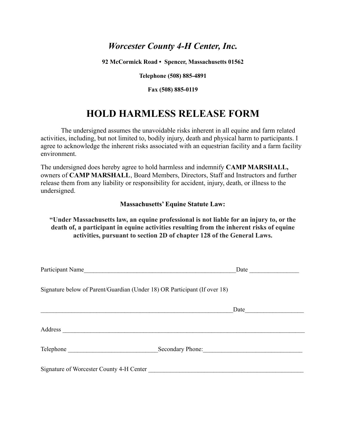## *Worcester County 4-H Center, Inc.*

**92 McCormick Road • Spencer, Massachusetts 01562**

**Telephone (508) 885-4891**

**Fax (508) 885-0119**

# **HOLD HARMLESS RELEASE FORM**

The undersigned assumes the unavoidable risks inherent in all equine and farm related activities, including, but not limited to, bodily injury, death and physical harm to participants. I agree to acknowledge the inherent risks associated with an equestrian facility and a farm facility environment.

The undersigned does hereby agree to hold harmless and indemnify **CAMP MARSHALL,** owners of **CAMP MARSHALL**, Board Members, Directors, Staff and Instructors and further release them from any liability or responsibility for accident, injury, death, or illness to the undersigned.

#### **Massachusetts' Equine Statute Law:**

### **"Under Massachusetts law, an equine professional is not liable for an injury to, or the death of, a participant in equine activities resulting from the inherent risks of equine activities, pursuant to section 2D of chapter 128 of the General Laws.**

| Participant Name                                                          |                  | Date |
|---------------------------------------------------------------------------|------------------|------|
| Signature below of Parent/Guardian (Under 18) OR Participant (If over 18) |                  |      |
|                                                                           |                  | Date |
|                                                                           |                  |      |
|                                                                           | Secondary Phone: |      |
| Signature of Worcester County 4-H Center                                  |                  |      |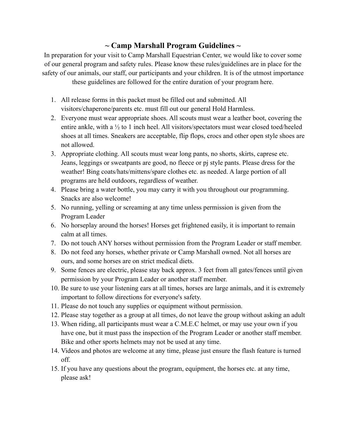## **~ Camp Marshall Program Guidelines ~**

In preparation for your visit to Camp Marshall Equestrian Center, we would like to cover some of our general program and safety rules. Please know these rules/guidelines are in place for the safety of our animals, our staff, our participants and your children. It is of the utmost importance these guidelines are followed for the entire duration of your program here.

- 1. All release forms in this packet must be filled out and submitted. All visitors/chaperone/parents etc. must fill out our general Hold Harmless.
- 2. Everyone must wear appropriate shoes. All scouts must wear a leather boot, covering the entire ankle, with a ½ to 1 inch heel. All visitors/spectators must wear closed toed/heeled shoes at all times. Sneakers are acceptable, flip flops, crocs and other open style shoes are not allowed.
- 3. Appropriate clothing. All scouts must wear long pants, no shorts, skirts, caprese etc. Jeans, leggings or sweatpants are good, no fleece or pj style pants. Please dress for the weather! Bing coats/hats/mittens/spare clothes etc. as needed. A large portion of all programs are held outdoors, regardless of weather.
- 4. Please bring a water bottle, you may carry it with you throughout our programming. Snacks are also welcome!
- 5. No running, yelling or screaming at any time unless permission is given from the Program Leader
- 6. No horseplay around the horses! Horses get frightened easily, it is important to remain calm at all times.
- 7. Do not touch ANY horses without permission from the Program Leader or staff member.
- 8. Do not feed any horses, whether private or Camp Marshall owned. Not all horses are ours, and some horses are on strict medical diets.
- 9. Some fences are electric, please stay back approx. 3 feet from all gates/fences until given permission by your Program Leader or another staff member.
- 10. Be sure to use your listening ears at all times, horses are large animals, and it is extremely important to follow directions for everyone's safety.
- 11. Please do not touch any supplies or equipment without permission.
- 12. Please stay together as a group at all times, do not leave the group without asking an adult
- 13. When riding, all participants must wear a C.M.E.C helmet, or may use your own if you have one, but it must pass the inspection of the Program Leader or another staff member. Bike and other sports helmets may not be used at any time.
- 14. Videos and photos are welcome at any time, please just ensure the flash feature is turned off.
- 15. If you have any questions about the program, equipment, the horses etc. at any time, please ask!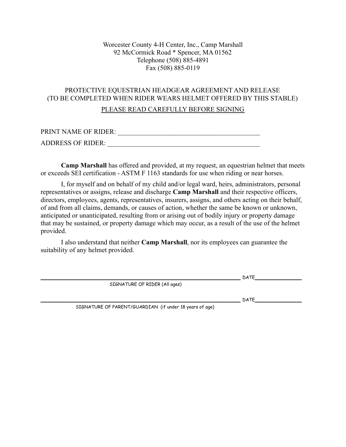### Worcester County 4-H Center, Inc., Camp Marshall 92 McCormick Road \* Spencer, MA 01562 Telephone (508) 885-4891 Fax (508) 885-0119

### PROTECTIVE EQUESTRIAN HEADGEAR AGREEMENT AND RELEASE (TO BE COMPLETED WHEN RIDER WEARS HELMET OFFERED BY THIS STABLE)

### PLEASE READ CAREFULLY BEFORE SIGNING

| PRINT NAME OF RIDER:     |  |
|--------------------------|--|
| <b>ADDRESS OF RIDER:</b> |  |

**Camp Marshall** has offered and provided, at my request, an equestrian helmet that meets or exceeds SEI certification - ASTM F 1163 standards for use when riding or near horses.

I, for myself and on behalf of my child and/or legal ward, heirs, administrators, personal representatives or assigns, release and discharge **Camp Marshall** and their respective officers, directors, employees, agents, representatives, insurers, assigns, and others acting on their behalf, of and from all claims, demands, or causes of action, whether the same be known or unknown, anticipated or unanticipated, resulting from or arising out of bodily injury or property damage that may be sustained, or property damage which may occur, as a result of the use of the helmet provided.

I also understand that neither **Camp Marshall**, nor its employees can guarantee the suitability of any helmet provided.

 $\_$  DATE $\_$ 

SIGNATURE OF RIDER (All ages)

 $\blacksquare$  DATE  $\blacksquare$ 

SIGNATURE OF PARENT/GUARDIAN (if under 18 years of age)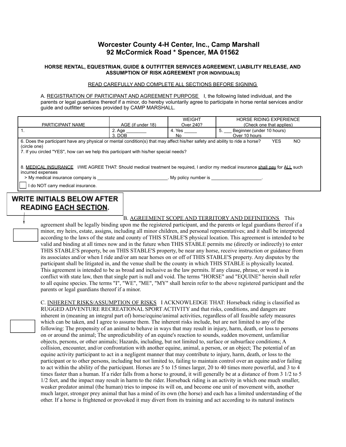### **Worcester County 4-H Center, Inc., Camp Marshall 92 McCormick Road \* Spencer, MA 01562**

#### **HORSE RENTAL, EQUESTRIAN, GUIDE & OUTFITTER SERVICES AGREEMENT, LIABILITY RELEASE, AND ASSUMPTION OF RISK AGREEMENT [FOR INDIVIDUALS]**

#### READ CAREFULLY AND COMPLETE ALL SECTIONS BEFORE SIGNING

A. REGISTRATION OF PARTICIPANT AND AGREEMENT PURPOSE I, the following listed individual, and the parents or legal guardians thereof if a minor, do hereby voluntarily agree to participate in horse rental services and/or guide and outfitter services provided by CAMP MARSHALL.

| PARTICIPANT NAME                                                                                                                                                                                                                                                      | AGE (if under 18) | <b>WEIGHT</b><br>Over 240? | <b>HORSE RIDING EXPERIENCE</b><br>(Check one that applies) |  |
|-----------------------------------------------------------------------------------------------------------------------------------------------------------------------------------------------------------------------------------------------------------------------|-------------------|----------------------------|------------------------------------------------------------|--|
|                                                                                                                                                                                                                                                                       | 2. Age<br>3. DOB  | 4. Yes<br>No               | Beginner (under 10 hours)<br>5.<br>Over 10 hours           |  |
| 6. Does the participant have any physical or mental condition(s) that may affect his/her safety and ability to ride a horse?<br><b>YES</b><br>N <sub>O</sub><br>(circle one)<br>7. If you circled "YES", how can we help this participant with his/her special needs? |                   |                            |                                                            |  |
| 8. MEDICAL INSURANCE I/WE AGREE THAT: Should medical treatment be required, I and/or my medical insurance shall pay for ALL such<br>incurred expenses<br>> My medical insurance company is<br>My policy number is                                                     |                   |                            |                                                            |  |
| do NOT carry medical insurance.                                                                                                                                                                                                                                       |                   |                            |                                                            |  |

## **WRITE INITIALS BELOW AFTER READING EACH SECTION.**

B. AGREEMENT SCOPE AND TERRITORY AND DEFINITIONS This agreement shall be legally binding upon me the registered participant, and the parents or legal guardians thereof if a minor, my heirs, estate, assigns, including all minor children, and personal representatives; and it shall be interpreted according to the laws of the state and county of THIS STABLE'S physical location. This agreement is intended to be valid and binding at all times now and in the future when THIS STABLE permits me (directly or indirectly) to enter THIS STABLE'S property, be on THIS STABLE'S property, be near any horse, receive instruction or guidance from its associates and/or when I ride and/or am near horses on or off of THIS STABLE'S property. Any disputes by the participant shall be litigated in, and the venue shall be the county in which THIS STABLE is physically located. This agreement is intended to be as broad and inclusive as the law permits. If any clause, phrase, or word is in conflict with state law, then that single part is null and void. The terms "HORSE" and "EQUINE" herein shall refer to all equine species. The terms "I", "WE", "ME", "MY" shall herein refer to the above registered participant and the parents or legal guardians thereof if a minor.

C. INHERENT RISKS/ASSUMPTION OF RISKS I ACKNOWLEDGE THAT: Horseback riding is classified as RUGGED ADVENTURE RECREATIONAL SPORT ACTIVITY and that risks, conditions, and dangers are inherent in (meaning an integral part of) horse/equine/animal activities, regardless of all feasible safety measures which can be taken, and I agree to assume them. The inherent risks include, but are not limited to any of the following: The propensity of an animal to behave in ways that may result in injury, harm, death, or loss to persons on or around the animal; The unpredictability of an equine's reaction to sounds, sudden movement, unfamiliar objects, persons, or other animals; Hazards, including, but not limited to, surface or subsurface conditions; A collision, encounter, and/or confrontation with another equine, animal, a person, or an object; The potential of an equine activity participant to act in a negligent manner that may contribute to injury, harm, death, or loss to the participant or to other persons, including but not limited to, failing to maintain control over an equine and/or failing to act within the ability of the participant. Horses are 5 to 15 times larger, 20 to 40 times more powerful, and 3 to 4 times faster than a human. If a rider falls from a horse to ground, it will generally be at a distance of from 3 1/2 to 5 1/2 feet, and the impact may result in harm to the rider. Horseback riding is an activity in which one much smaller, weaker predator animal (the human) tries to impose its will on, and become one unit of movement with, another much larger, stronger prey animal that has a mind of its own (the horse) and each has a limited understanding of the other. If a horse is frightened or provoked it may divert from its training and act according to its natural instincts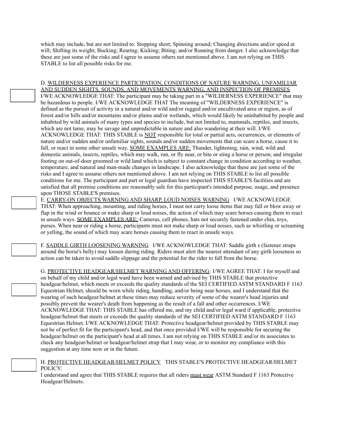which may include, but are not limited to: Stopping short; Spinning around; Changing directions and/or speed at will; Shifting its weight; Bucking; Rearing; Kicking; Biting; and/or Running from danger. I also acknowledge that these are just some of the risks and I agree to assume others not mentioned above. I am not relying on THIS STABLE to list all possible risks for me.

D. WILDERNESS EXPERIENCE PARTICIPATION, CONDITIONS OF NATURE WARNING, UNFAMILIAR AND SUDDEN SIGHTS, SOUNDS, AND MOVEMENTS WARNING, AND INSPECTION OF PREMISES I/WE ACKNOWLEDGE THAT: The participant may be taking part in a "WILDERNESS EXPERIENCE" that may be hazardous to people. I/WE ACKNOWLEDGE THAT The meaning of "WILDERNESS EXPERIENCE" is defined as the pursuit of activity in a natural and/or wild and/or rugged and/or uncultivated area or region, as of forest and/or hills and/or mountains and/or plains and/or wetlands, which would likely be uninhabited by people and inhabited by wild animals of many types and species to include, but not limited to, mammals, reptiles, and insects, which are not tame, may be savage and unpredictable in nature and also wandering at their will. I/WE ACKNOWLEDGE THAT: THIS STABLE is NOT responsible for total or partial acts, occurrences, or elements of nature and/or sudden and/or unfamiliar sights, sounds and/or sudden movements that can scare a horse, cause it to fall, or react in some other unsafe way. SOME EXAMPLES ARE: Thunder, lightening, rain, wind, wild and domestic animals, insects, reptiles, which may walk, run, or fly near, or bite or sting a horse or person; and irregular footing on out-of-door groomed or wild land which is subject to constant change in condition according to weather, temperature, and natural and man-made changes in landscape. I also acknowledge that these are just some of the risks and I agree to assume others not mentioned above. I am not relying on THIS STABLE to list all possible conditions for me. The participant and part or legal guardian have inspected THIS STABLE'S facilities and are satisfied that all premise conditions are reasonably safe for this participant's intended purpose, usage, and presence upon THOSE STABLE'S premises.

E. CARRY-ON OBJECTS WARNING AND SHARP, LOUD NOISES WARNING I/WE ACKNOWLEDGE THAT: When approaching, mounting, and riding horses, I must not carry loose items that may fall or blow away or flap in the wind or bounce or make sharp or loud noises, the action of which may scare horses causing them to react in unsafe ways. SOME EXAMPLES ARE: Cameras, cell phones, hats not securely fastened under chin, toys, purses. When near or riding a horse, participants must not make sharp or loud noises, such as whistling or screaming or yelling, the sound of which may scare horses causing them to react in unsafe ways.

F. SADDLE GIRTH LOOSENING WARNING I/WE ACKNOWLEDGE THAT: Saddle girth s (fastener straps around the horse's belly) may loosen during riding. Riders must alert the nearest attendant of any girth looseness so action can be taken to avoid saddle slippage and the potential for the rider to fall from the horse.

G. PROTECTIVE HEADGEAR/HELMET WARNING AND OFFERING: I/WE AGREE THAT: I for myself and on behalf of my child and/or legal ward have been warned and advised by THIS STABLE that protective headgear/helmet, which meets or exceeds the quality standards of the SEI CERTIFIED ASTM STANDARD F 1163 Equestrian Helmet, should be worn while riding, handling, and/or being near horses, and I understand that the wearing of such headgear/helmet at these times may reduce severity of some of the wearer's head injuries and possibly prevent the wearer's death from happening as the result of a fall and other occurrences. I/WE ACKNOWLEDGE THAT: THIS STABLE has offered me, and my child and/or legal ward if applicable, protective headgear/helmet that meets or exceeds the quality standards of the SEI CERTIFIED ASTM STANDARD F 1163 Equestrian Helmet. I/WE ACKNOWLEDGE THAT: Protective headgear/helmet provided by THIS STABLE may not be of perfect fit for the participant's head, and that once provided I/WE will be responsible for securing the headgear/helmet on the participant's head at all times. I am not relying on THIS STABLE and/or its associates to check any headgear/helmet or headgear/helmet strap that I may wear, or to monitor my compliance with this suggestion at any time now or in the future.

|         | H. PROTECTIVE HEADGEAR/HELMET POLICY THIS STABLE'S PROTECTIVE HEADGEAR/HELMET |
|---------|-------------------------------------------------------------------------------|
| POLICY: |                                                                               |

I understand and agree that THIS STABLE requires that all riders must wear ASTM Standard F 1163 Protective Headgear/Helmets.